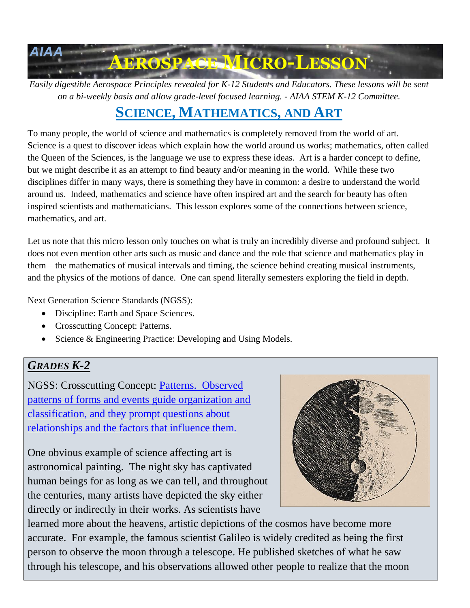

*Easily digestible Aerospace Principles revealed for K-12 Students and Educators. These lessons will be sent on a bi-weekly basis and allow grade-level focused learning. - AIAA STEM K-12 Committee.*

# **SCIENCE, MATHEMATICS, AND ART**

To many people, the world of science and mathematics is completely removed from the world of art. Science is a quest to discover ideas which explain how the world around us works; mathematics, often called the Queen of the Sciences, is the language we use to express these ideas. Art is a harder concept to define, but we might describe it as an attempt to find beauty and/or meaning in the world. While these two disciplines differ in many ways, there is something they have in common: a desire to understand the world around us. Indeed, mathematics and science have often inspired art and the search for beauty has often inspired scientists and mathematicians. This lesson explores some of the connections between science, mathematics, and art.

Let us note that this micro lesson only touches on what is truly an incredibly diverse and profound subject. It does not even mention other arts such as music and dance and the role that science and mathematics play in them—the mathematics of musical intervals and timing, the science behind creating musical instruments, and the physics of the motions of dance. One can spend literally semesters exploring the field in depth.

Next Generation Science Standards (NGSS):

- Discipline: Earth and Space Sciences.
- Crosscutting Concept: Patterns.
- Science & Engineering Practice: Developing and Using Models.

## *GRADES K-2*

NGSS: Crosscutting Concept: Patterns. [Observed](https://www.nextgenscience.org/sites/default/files/resource/files/Appendix%20G%20-%20Crosscutting%20Concepts%20FINAL%20edited%204.10.13.pdf)  [patterns of forms and events guide organization and](https://www.nextgenscience.org/sites/default/files/resource/files/Appendix%20G%20-%20Crosscutting%20Concepts%20FINAL%20edited%204.10.13.pdf)  [classification, and they prompt questions about](https://www.nextgenscience.org/sites/default/files/resource/files/Appendix%20G%20-%20Crosscutting%20Concepts%20FINAL%20edited%204.10.13.pdf)  [relationships and the factors that influence them.](https://www.nextgenscience.org/sites/default/files/resource/files/Appendix%20G%20-%20Crosscutting%20Concepts%20FINAL%20edited%204.10.13.pdf)

One obvious example of science affecting art is astronomical painting. The night sky has captivated human beings for as long as we can tell, and throughout the centuries, many artists have depicted the sky either directly or indirectly in their works. As scientists have



learned more about the heavens, artistic depictions of the cosmos have become more accurate. For example, the famous scientist Galileo is widely credited as being the first person to observe the moon through a telescope. He published sketches of what he saw through his telescope, and his observations allowed other people to realize that the moon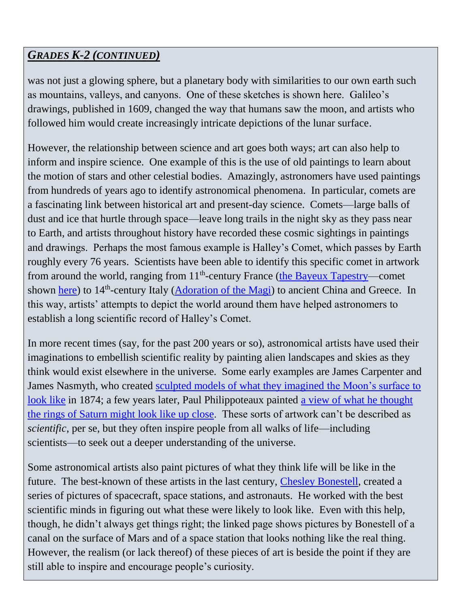## *GRADES K-2 (CONTINUED)*

was not just a glowing sphere, but a planetary body with similarities to our own earth such as mountains, valleys, and canyons. One of these sketches is shown here. Galileo's drawings, published in 1609, changed the way that humans saw the moon, and artists who followed him would create increasingly intricate depictions of the lunar surface.

However, the relationship between science and art goes both ways; art can also help to inform and inspire science. One example of this is the use of old paintings to learn about the motion of stars and other celestial bodies. Amazingly, astronomers have used paintings from hundreds of years ago to identify astronomical phenomena. In particular, comets are a fascinating link between historical art and present-day science. Comets—large balls of dust and ice that hurtle through space—leave long trails in the night sky as they pass near to Earth, and artists throughout history have recorded these cosmic sightings in paintings and drawings. Perhaps the most famous example is Halley's Comet, which passes by Earth roughly every 76 years. Scientists have been able to identify this specific comet in artwork from around the world, ranging from 11<sup>th</sup>-century France [\(the Bayeux Tapestry—](http://www.bayeuxtapestry.org.uk/)comet shown [here\)](http://anglosaxon.archeurope.info/uploads/images/Bayeux%20Tapestry/scene%2038.jpg) to 14<sup>th</sup>-century Italy [\(Adoration of the Magi\)](https://05varvara.files.wordpress.com/2013/05/01-giotto-di-bondone-the-adoration-of-the-magi-cappella-scrovegni-a-padova-padova-italy-13051.jpg) to ancient China and Greece. In this way, artists' attempts to depict the world around them have helped astronomers to establish a long scientific record of Halley's Comet.

In more recent times (say, for the past 200 years or so), astronomical artists have used their imaginations to embellish scientific reality by painting alien landscapes and skies as they think would exist elsewhere in the universe. Some early examples are James Carpenter and James Nasmyth, who created [sculpted models of what they imagined the Moon's surface to](http://seeingscience.umbc.edu/2016/10/nasmyth-carpenter-the-moon-considered-as-a-planet-a-world-and-a-satellite-1874/)  [look like](http://seeingscience.umbc.edu/2016/10/nasmyth-carpenter-the-moon-considered-as-a-planet-a-world-and-a-satellite-1874/) in 1874; a few years later, Paul Philippoteaux painted a view of what he thought [the rings of Saturn might look like up close.](https://upload.wikimedia.org/wikipedia/commons/d/d6/%27Off_on_a_Comet%27_by_Paul_Philippoteaux_087.jpg) These sorts of artwork can't be described as *scientific*, per se, but they often inspire people from all walks of life—including scientists—to seek out a deeper understanding of the universe.

Some astronomical artists also paint pictures of what they think life will be like in the future. The best-known of these artists in the last century, [Chesley Bonestell,](http://www.printmag.com/uncategorized/chesley-bonestell-imagining-the-future/) created a series of pictures of spacecraft, space stations, and astronauts. He worked with the best scientific minds in figuring out what these were likely to look like. Even with this help, though, he didn't always get things right; the linked page shows pictures by Bonestell of a canal on the surface of Mars and of a space station that looks nothing like the real thing. However, the realism (or lack thereof) of these pieces of art is beside the point if they are still able to inspire and encourage people's curiosity.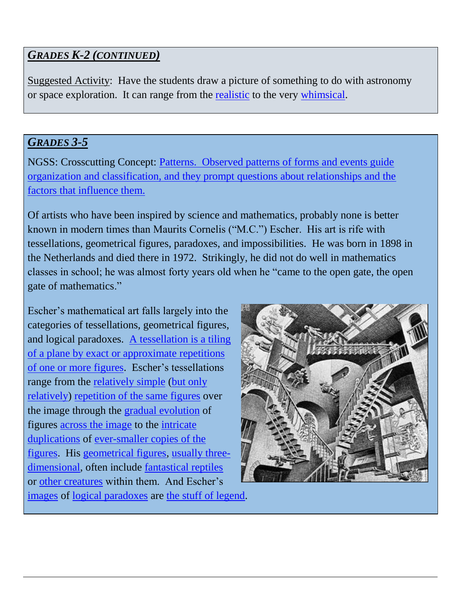## *GRADES K-2 (CONTINUED)*

Suggested Activity: Have the students draw a picture of something to do with astronomy or space exploration. It can range from the [realistic](https://fineartamerica.com/featured/aurora-borealis-over-sandvannet-lake-arild-heitmann.html?product=art-print) to the very [whimsical.](https://fineartamerica.com/featured/rockship-dennis-wunsch.html?product=art-print)

#### *GRADES 3-5*

NGSS: Crosscutting Concept: Patterns. [Observed patterns of forms and events guide](https://www.nextgenscience.org/sites/default/files/resource/files/Appendix%20G%20-%20Crosscutting%20Concepts%20FINAL%20edited%204.10.13.pdf)  [organization and classification, and they prompt questions about relationships and the](https://www.nextgenscience.org/sites/default/files/resource/files/Appendix%20G%20-%20Crosscutting%20Concepts%20FINAL%20edited%204.10.13.pdf)  [factors that influence them.](https://www.nextgenscience.org/sites/default/files/resource/files/Appendix%20G%20-%20Crosscutting%20Concepts%20FINAL%20edited%204.10.13.pdf)

Of artists who have been inspired by science and mathematics, probably none is better known in modern times than Maurits Cornelis ("M.C.") Escher. His art is rife with tessellations, geometrical figures, paradoxes, and impossibilities. He was born in 1898 in the Netherlands and died there in 1972. Strikingly, he did not do well in mathematics classes in school; he was almost forty years old when he "came to the open gate, the open gate of mathematics."

Escher's mathematical art falls largely into the categories of tessellations, geometrical figures, and logical paradoxes. [A tessellation is a tiling](https://www.livescience.com/50027-tessellation-tiling.html)  [of a plane by exact or approximate repetitions](https://www.livescience.com/50027-tessellation-tiling.html)  [of one or more](https://www.livescience.com/50027-tessellation-tiling.html) figures. Escher's tessellations range from the [relatively simple](https://www.mcescher.com/gallery/switzerland-belgium/no-11-sea-horse/) (but only [relatively\)](https://www.mcescher.com/gallery/switzerland-belgium/no-28-three-birds/) [repetition of the same figures](https://www.mcescher.com/gallery/back-in-holland/no-67-horseman/) over the image through the [gradual evolution](https://www.mcescher.com/gallery/switzerland-belgium/day-and-night/) of figures [across the image](https://www.mcescher.com/gallery/switzerland-belgium/cycle/) to the [intricate](https://www.mcescher.com/gallery/recognition-success/circle-limit-iii/)  [duplications](https://www.mcescher.com/gallery/recognition-success/circle-limit-iii/) of [ever-smaller copies of the](https://www.mcescher.com/gallery/recognition-success/smaller-and-smaller/)  [figures.](https://www.mcescher.com/gallery/recognition-success/smaller-and-smaller/) His [geometrical figures,](https://www.mcescher.com/gallery/recognition-success/sphere-spirals/) [usually three](https://www.mcescher.com/gallery/back-in-holland/concentric-rinds-i/)[dimensional,](https://www.mcescher.com/gallery/back-in-holland/concentric-rinds-i/) often include [fantastical reptiles](https://www.mcescher.com/gallery/back-in-holland/stars-i/) or [other creatures](https://www.mcescher.com/gallery/recognition-success/mobius-strip-ii/) within them. And Escher's [images](https://www.mcescher.com/gallery/recognition-success/convex-and-concave/) of [logical paradoxes](https://www.mcescher.com/gallery/recognition-success/belvedere/) are [the stuff of legend.](https://www.mcescher.com/gallery/recognition-success/ascending-and-descending/)

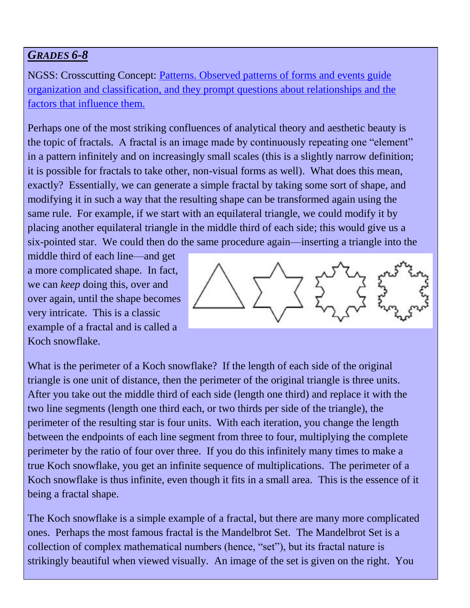## *GRADES 6-8*

NGSS: Crosscutting Concept: [Patterns. Observed patterns of forms and events guide](https://www.nextgenscience.org/sites/default/files/resource/files/Appendix%20G%20-%20Crosscutting%20Concepts%20FINAL%20edited%204.10.13.pdf)  [organization and classification, and they prompt questions about relationships and the](https://www.nextgenscience.org/sites/default/files/resource/files/Appendix%20G%20-%20Crosscutting%20Concepts%20FINAL%20edited%204.10.13.pdf)  [factors that influence them.](https://www.nextgenscience.org/sites/default/files/resource/files/Appendix%20G%20-%20Crosscutting%20Concepts%20FINAL%20edited%204.10.13.pdf)

Perhaps one of the most striking confluences of analytical theory and aesthetic beauty is the topic of fractals. A fractal is an image made by continuously repeating one "element" in a pattern infinitely and on increasingly small scales (this is a slightly narrow definition; it is possible for fractals to take other, non-visual forms as well). What does this mean, exactly? Essentially, we can generate a simple fractal by taking some sort of shape, and modifying it in such a way that the resulting shape can be transformed again using the same rule. For example, if we start with an equilateral triangle, we could modify it by placing another equilateral triangle in the middle third of each side; this would give us a six-pointed star. We could then do the same procedure again—inserting a triangle into the

middle third of each line—and get a more complicated shape. In fact, we can *keep* doing this, over and over again, until the shape becomes very intricate. This is a classic example of a fractal and is called a Koch snowflake.



What is the perimeter of a Koch snowflake? If the length of each side of the original triangle is one unit of distance, then the perimeter of the original triangle is three units. After you take out the middle third of each side (length one third) and replace it with the two line segments (length one third each, or two thirds per side of the triangle), the perimeter of the resulting star is four units. With each iteration, you change the length between the endpoints of each line segment from three to four, multiplying the complete perimeter by the ratio of four over three. If you do this infinitely many times to make a true Koch snowflake, you get an infinite sequence of multiplications. The perimeter of a Koch snowflake is thus infinite, even though it fits in a small area. This is the essence of it being a fractal shape.

The Koch snowflake is a simple example of a fractal, but there are many more complicated ones. Perhaps the most famous fractal is the Mandelbrot Set. The Mandelbrot Set is a collection of complex mathematical numbers (hence, "set"), but its fractal nature is strikingly beautiful when viewed visually. An image of the set is given on the right. You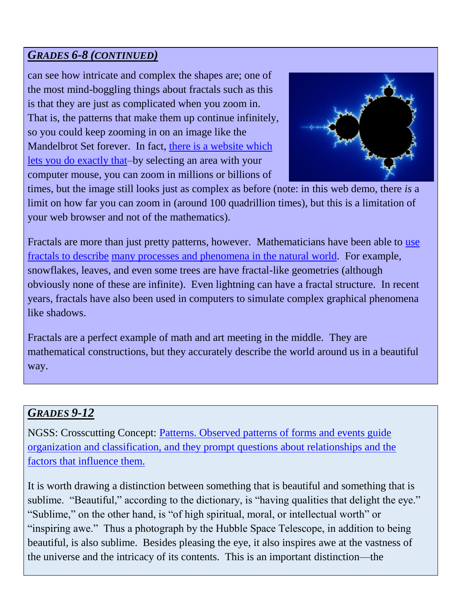## *GRADES 6-8 (CONTINUED)*

can see how intricate and complex the shapes are; one of the most mind-boggling things about fractals such as this is that they are just as complicated when you zoom in. That is, the patterns that make them up continue infinitely, so you could keep zooming in on an image like the Mandelbrot Set forever. In fact, [there is a website which](http://www.pbs.org/wgbh/nova/physics/fractal-detail.html)  [lets you do exactly that–](http://www.pbs.org/wgbh/nova/physics/fractal-detail.html)by selecting an area with your computer mouse, you can zoom in millions or billions of



times, but the image still looks just as complex as before (note: in this web demo, there *is* a limit on how far you can zoom in (around 100 quadrillion times), but this is a limitation of your web browser and not of the mathematics).

Fractals are more than just pretty patterns, however. Mathematicians have been able to [use](https://www.wired.com/2010/09/fractal-patterns-in-nature/)  [fractals to describe](https://www.wired.com/2010/09/fractal-patterns-in-nature/) [many processes and phenomena in the natural world.](https://www.mnn.com/earth-matters/wilderness-resources/blogs/14-amazing-fractals-found-in-nature) For example, snowflakes, leaves, and even some trees are have fractal-like geometries (although obviously none of these are infinite). Even lightning can have a fractal structure. In recent years, fractals have also been used in computers to simulate complex graphical phenomena like shadows.

Fractals are a perfect example of math and art meeting in the middle. They are mathematical constructions, but they accurately describe the world around us in a beautiful way.

## *GRADES 9-12*

NGSS: Crosscutting Concept: [Patterns. Observed patterns of forms and events guide](https://www.nextgenscience.org/sites/default/files/resource/files/Appendix%20G%20-%20Crosscutting%20Concepts%20FINAL%20edited%204.10.13.pdf)  [organization and classification, and they prompt questions about relationships and the](https://www.nextgenscience.org/sites/default/files/resource/files/Appendix%20G%20-%20Crosscutting%20Concepts%20FINAL%20edited%204.10.13.pdf)  [factors that influence them.](https://www.nextgenscience.org/sites/default/files/resource/files/Appendix%20G%20-%20Crosscutting%20Concepts%20FINAL%20edited%204.10.13.pdf)

It is worth drawing a distinction between something that is beautiful and something that is sublime. "Beautiful," according to the dictionary, is "having qualities that delight the eye." "Sublime," on the other hand, is "of high spiritual, moral, or intellectual worth" or "inspiring awe." Thus a photograph by the Hubble Space Telescope, in addition to being beautiful, is also sublime. Besides pleasing the eye, it also inspires awe at the vastness of the universe and the intricacy of its contents. This is an important distinction—the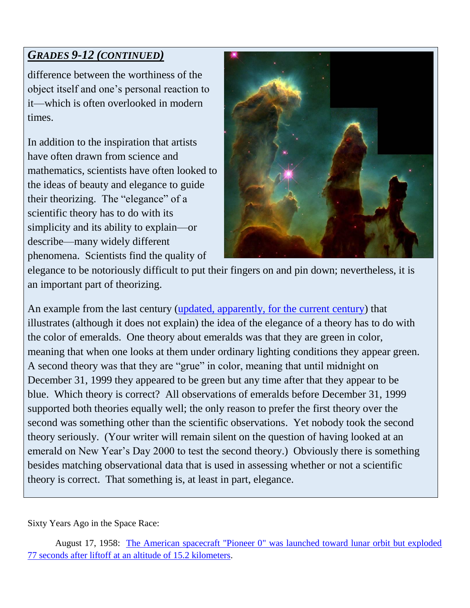# *GRADES 9-12 (CONTINUED)*

difference between the worthiness of the object itself and one's personal reaction to it—which is often overlooked in modern times.

In addition to the inspiration that artists have often drawn from science and mathematics, scientists have often looked to the ideas of beauty and elegance to guide their theorizing. The "elegance" of a scientific theory has to do with its simplicity and its ability to explain—or describe—many widely different phenomena. Scientists find the quality of



elegance to be notoriously difficult to put their fingers on and pin down; nevertheless, it is an important part of theorizing.

An example from the last century [\(updated, apparently, for the current century\)](http://people.loyno.edu/~folse/grue.html) that illustrates (although it does not explain) the idea of the elegance of a theory has to do with the color of emeralds. One theory about emeralds was that they are green in color, meaning that when one looks at them under ordinary lighting conditions they appear green. A second theory was that they are "grue" in color, meaning that until midnight on December 31, 1999 they appeared to be green but any time after that they appear to be blue. Which theory is correct? All observations of emeralds before December 31, 1999 supported both theories equally well; the only reason to prefer the first theory over the second was something other than the scientific observations. Yet nobody took the second theory seriously. (Your writer will remain silent on the question of having looked at an emerald on New Year's Day 2000 to test the second theory.) Obviously there is something besides matching observational data that is used in assessing whether or not a scientific theory is correct. That something is, at least in part, elegance.

Sixty Years Ago in the Space Race:

August 17, 1958: [The American spacecraft "Pioneer 0" was launched toward lunar orbit but exploded](https://nssdc.gsfc.nasa.gov/nmc/spacecraftDisplay.do?id=ABLE1)  [77 seconds after liftoff at an altitude of 15.2 kilometers.](https://nssdc.gsfc.nasa.gov/nmc/spacecraftDisplay.do?id=ABLE1)